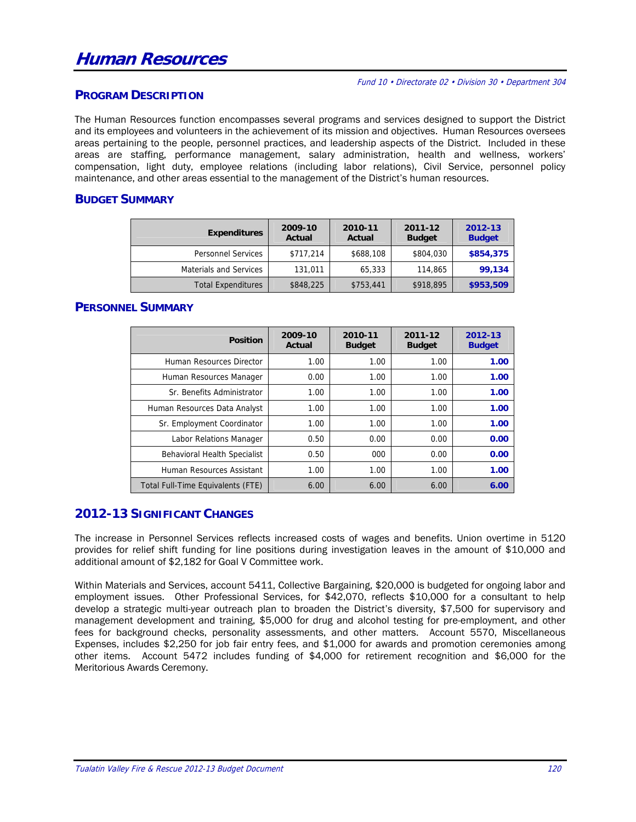#### Fund 10 • Directorate 02 • Division 30 • Department 304

## **PROGRAM DESCRIPTION**

The Human Resources function encompasses several programs and services designed to support the District and its employees and volunteers in the achievement of its mission and objectives. Human Resources oversees areas pertaining to the people, personnel practices, and leadership aspects of the District. Included in these areas are staffing, performance management, salary administration, health and wellness, workers' compensation, light duty, employee relations (including labor relations), Civil Service, personnel policy maintenance, and other areas essential to the management of the District's human resources.

## **BUDGET SUMMARY**

| <b>Expenditures</b>           | 2009-10<br>Actual | 2010-11<br>Actual | 2011-12<br><b>Budget</b> | 2012-13<br><b>Budget</b> |
|-------------------------------|-------------------|-------------------|--------------------------|--------------------------|
| <b>Personnel Services</b>     | \$717,214         | \$688,108         | \$804,030                | \$854,375                |
| <b>Materials and Services</b> | 131,011           | 65,333            | 114,865                  | 99,134                   |
| <b>Total Expenditures</b>     | \$848,225         | \$753,441         | \$918,895                | \$953,509                |

## **PERSONNEL SUMMARY**

| <b>Position</b>                   | 2009-10<br>Actual | 2010-11<br><b>Budget</b> | 2011-12<br><b>Budget</b> | 2012-13<br><b>Budget</b> |
|-----------------------------------|-------------------|--------------------------|--------------------------|--------------------------|
| Human Resources Director          | 1.00              | 1.00                     | 1.00                     | 1.00                     |
| Human Resources Manager           | 0.00              | 1.00                     | 1.00                     | 1.00                     |
| Sr. Benefits Administrator        | 1.00              | 1.00                     | 1.00                     | 1.00                     |
| Human Resources Data Analyst      | 1.00              | 1.00                     | 1.00                     | 1.00                     |
| Sr. Employment Coordinator        | 1.00              | 1.00                     | 1.00                     | 1.00                     |
| Labor Relations Manager           | 0.50              | 0.00                     | 0.00                     | 0.00                     |
| Behavioral Health Specialist      | 0.50              | 000                      | 0.00                     | 0.00                     |
| Human Resources Assistant         | 1.00              | 1.00                     | 1.00                     | 1.00                     |
| Total Full-Time Equivalents (FTE) | 6.00              | 6.00                     | 6.00                     | 6.00                     |

## **2012-13 SIGNIFICANT CHANGES**

The increase in Personnel Services reflects increased costs of wages and benefits. Union overtime in 5120 provides for relief shift funding for line positions during investigation leaves in the amount of \$10,000 and additional amount of \$2,182 for Goal V Committee work.

Within Materials and Services, account 5411, Collective Bargaining, \$20,000 is budgeted for ongoing labor and employment issues. Other Professional Services, for \$42,070, reflects \$10,000 for a consultant to help develop a strategic multi-year outreach plan to broaden the District's diversity, \$7,500 for supervisory and management development and training, \$5,000 for drug and alcohol testing for pre-employment, and other fees for background checks, personality assessments, and other matters. Account 5570, Miscellaneous Expenses, includes \$2,250 for job fair entry fees, and \$1,000 for awards and promotion ceremonies among other items. Account 5472 includes funding of \$4,000 for retirement recognition and \$6,000 for the Meritorious Awards Ceremony.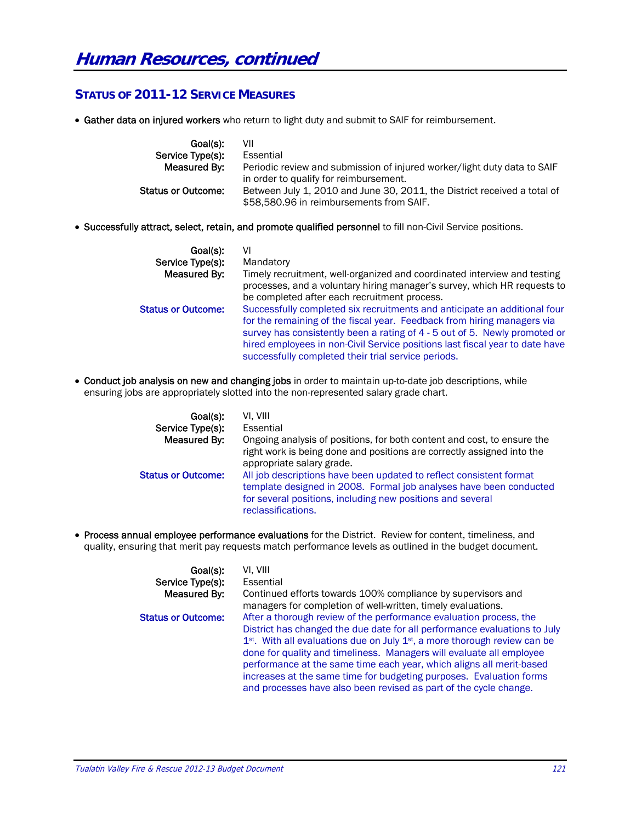## **STATUS OF 2011-12 SERVICE MEASURES**

• Gather data on injured workers who return to light duty and submit to SAIF for reimbursement.

| Goal(s):                  | VII                                                                                                                  |
|---------------------------|----------------------------------------------------------------------------------------------------------------------|
| Service Type(s):          | Essential                                                                                                            |
| Measured By:              | Periodic review and submission of injured worker/light duty data to SAIF<br>in order to qualify for reimbursement.   |
| <b>Status or Outcome:</b> | Between July 1, 2010 and June 30, 2011, the District received a total of<br>\$58,580.96 in reimbursements from SAIF. |

Successfully attract, select, retain, and promote qualified personnel to fill non-Civil Service positions.

| Goal(s):                  | VI                                                                                                                                                                                                                                                                                                                                                                        |
|---------------------------|---------------------------------------------------------------------------------------------------------------------------------------------------------------------------------------------------------------------------------------------------------------------------------------------------------------------------------------------------------------------------|
| Service Type(s):          | Mandatory                                                                                                                                                                                                                                                                                                                                                                 |
| Measured By:              | Timely recruitment, well-organized and coordinated interview and testing<br>processes, and a voluntary hiring manager's survey, which HR requests to<br>be completed after each recruitment process.                                                                                                                                                                      |
| <b>Status or Outcome:</b> | Successfully completed six recruitments and anticipate an additional four<br>for the remaining of the fiscal year. Feedback from hiring managers via<br>survey has consistently been a rating of 4 - 5 out of 5. Newly promoted or<br>hired employees in non-Civil Service positions last fiscal year to date have<br>successfully completed their trial service periods. |

 Conduct job analysis on new and changing jobs in order to maintain up-to-date job descriptions, while ensuring jobs are appropriately slotted into the non-represented salary grade chart.

| Goal(s):                  | VI. VIII                                                                                                                                                                                                                      |
|---------------------------|-------------------------------------------------------------------------------------------------------------------------------------------------------------------------------------------------------------------------------|
| Service Type(s):          | Essential                                                                                                                                                                                                                     |
| Measured By:              | Ongoing analysis of positions, for both content and cost, to ensure the<br>right work is being done and positions are correctly assigned into the<br>appropriate salary grade.                                                |
| <b>Status or Outcome:</b> | All job descriptions have been updated to reflect consistent format<br>template designed in 2008. Formal job analyses have been conducted<br>for several positions, including new positions and several<br>reclassifications. |

 Process annual employee performance evaluations for the District. Review for content, timeliness, and quality, ensuring that merit pay requests match performance levels as outlined in the budget document.

| Goal(s):                  | VI. VIII                                                                                                                                                                                                                                                                                                                                                                                                                                                                                                                                          |
|---------------------------|---------------------------------------------------------------------------------------------------------------------------------------------------------------------------------------------------------------------------------------------------------------------------------------------------------------------------------------------------------------------------------------------------------------------------------------------------------------------------------------------------------------------------------------------------|
| Service Type(s):          | Essential                                                                                                                                                                                                                                                                                                                                                                                                                                                                                                                                         |
| Measured By:              | Continued efforts towards 100% compliance by supervisors and<br>managers for completion of well-written, timely evaluations.                                                                                                                                                                                                                                                                                                                                                                                                                      |
| <b>Status or Outcome:</b> | After a thorough review of the performance evaluation process, the<br>District has changed the due date for all performance evaluations to July<br>1 <sup>st</sup> . With all evaluations due on July 1 <sup>st</sup> , a more thorough review can be<br>done for quality and timeliness. Managers will evaluate all employee<br>performance at the same time each year, which aligns all merit-based<br>increases at the same time for budgeting purposes. Evaluation forms<br>and processes have also been revised as part of the cycle change. |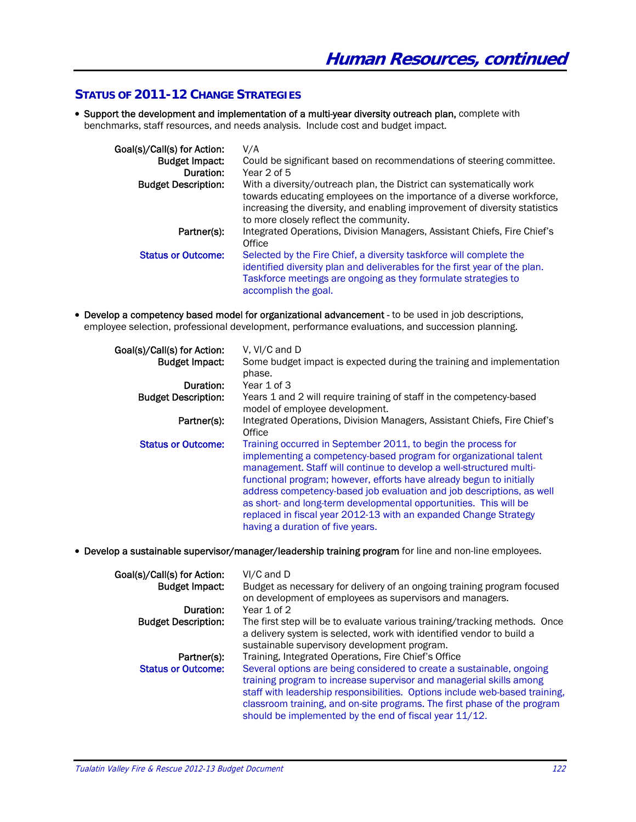## **STATUS OF 2011-12 CHANGE STRATEGIES**

 Support the development and implementation of a multi-year diversity outreach plan, complete with benchmarks, staff resources, and needs analysis. Include cost and budget impact.

| Goal(s)/Call(s) for Action:<br><b>Budget Impact:</b><br>Duration: | V/A<br>Could be significant based on recommendations of steering committee.<br>Year 2 of 5                                                                                                                                                                            |
|-------------------------------------------------------------------|-----------------------------------------------------------------------------------------------------------------------------------------------------------------------------------------------------------------------------------------------------------------------|
| <b>Budget Description:</b>                                        | With a diversity/outreach plan, the District can systematically work<br>towards educating employees on the importance of a diverse workforce,<br>increasing the diversity, and enabling improvement of diversity statistics<br>to more closely reflect the community. |
| Partner(s):                                                       | Integrated Operations, Division Managers, Assistant Chiefs, Fire Chief's<br>Office                                                                                                                                                                                    |
| <b>Status or Outcome:</b>                                         | Selected by the Fire Chief, a diversity taskforce will complete the<br>identified diversity plan and deliverables for the first year of the plan.<br>Taskforce meetings are ongoing as they formulate strategies to<br>accomplish the goal.                           |

 Develop a competency based model for organizational advancement - to be used in job descriptions, employee selection, professional development, performance evaluations, and succession planning.

| Goal(s)/Call(s) for Action: | V. VI/C and D                                                                                                                                                                                                                                                                                                                                                                                                                                                                                                                           |
|-----------------------------|-----------------------------------------------------------------------------------------------------------------------------------------------------------------------------------------------------------------------------------------------------------------------------------------------------------------------------------------------------------------------------------------------------------------------------------------------------------------------------------------------------------------------------------------|
| <b>Budget Impact:</b>       | Some budget impact is expected during the training and implementation<br>phase.                                                                                                                                                                                                                                                                                                                                                                                                                                                         |
| Duration:                   | Year 1 of 3                                                                                                                                                                                                                                                                                                                                                                                                                                                                                                                             |
| <b>Budget Description:</b>  | Years 1 and 2 will require training of staff in the competency-based<br>model of employee development.                                                                                                                                                                                                                                                                                                                                                                                                                                  |
| Partner(s):                 | Integrated Operations, Division Managers, Assistant Chiefs, Fire Chief's<br>Office                                                                                                                                                                                                                                                                                                                                                                                                                                                      |
| <b>Status or Outcome:</b>   | Training occurred in September 2011, to begin the process for<br>implementing a competency-based program for organizational talent<br>management. Staff will continue to develop a well-structured multi-<br>functional program; however, efforts have already begun to initially<br>address competency-based job evaluation and job descriptions, as well<br>as short- and long-term developmental opportunities. This will be<br>replaced in fiscal year 2012-13 with an expanded Change Strategy<br>having a duration of five years. |

Develop a sustainable supervisor/manager/leadership training program for line and non-line employees.

| Goal(s)/Call(s) for Action:<br><b>Budget Impact:</b> | VI/C and D<br>Budget as necessary for delivery of an ongoing training program focused<br>on development of employees as supervisors and managers.                                                                                                                                                                                                                 |
|------------------------------------------------------|-------------------------------------------------------------------------------------------------------------------------------------------------------------------------------------------------------------------------------------------------------------------------------------------------------------------------------------------------------------------|
| Duration:                                            | Year 1 of 2                                                                                                                                                                                                                                                                                                                                                       |
| <b>Budget Description:</b>                           | The first step will be to evaluate various training/tracking methods. Once<br>a delivery system is selected, work with identified vendor to build a<br>sustainable supervisory development program.                                                                                                                                                               |
| Partner(s):                                          | Training, Integrated Operations, Fire Chief's Office                                                                                                                                                                                                                                                                                                              |
| <b>Status or Outcome:</b>                            | Several options are being considered to create a sustainable, ongoing<br>training program to increase supervisor and managerial skills among<br>staff with leadership responsibilities. Options include web-based training,<br>classroom training, and on-site programs. The first phase of the program<br>should be implemented by the end of fiscal year 11/12. |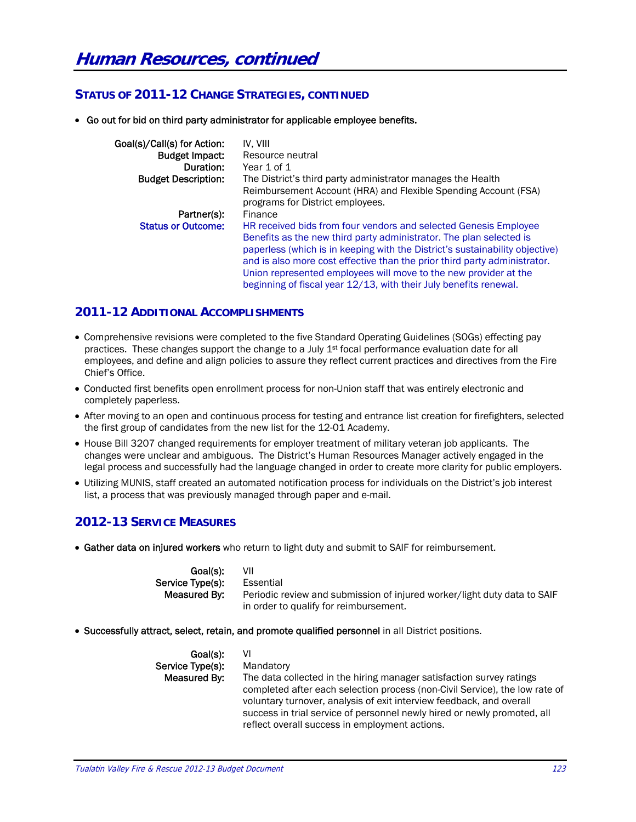## **STATUS OF 2011-12 CHANGE STRATEGIES, CONTINUED**

Go out for bid on third party administrator for applicable employee benefits.

| Goal(s)/Call(s) for Action:<br><b>Budget Impact:</b><br>Duration: | IV. VIII<br>Resource neutral<br>Year 1 of 1                                                                                                                                                                                                                                                                                                                                                                                                   |
|-------------------------------------------------------------------|-----------------------------------------------------------------------------------------------------------------------------------------------------------------------------------------------------------------------------------------------------------------------------------------------------------------------------------------------------------------------------------------------------------------------------------------------|
| <b>Budget Description:</b>                                        | The District's third party administrator manages the Health                                                                                                                                                                                                                                                                                                                                                                                   |
|                                                                   | Reimbursement Account (HRA) and Flexible Spending Account (FSA)<br>programs for District employees.                                                                                                                                                                                                                                                                                                                                           |
| Partner(s):                                                       | Finance                                                                                                                                                                                                                                                                                                                                                                                                                                       |
| <b>Status or Outcome:</b>                                         | HR received bids from four vendors and selected Genesis Employee<br>Benefits as the new third party administrator. The plan selected is<br>paperless (which is in keeping with the District's sustainability objective)<br>and is also more cost effective than the prior third party administrator.<br>Union represented employees will move to the new provider at the<br>beginning of fiscal year 12/13, with their July benefits renewal. |

#### **2011-12 ADDITIONAL ACCOMPLISHMENTS**

- Comprehensive revisions were completed to the five Standard Operating Guidelines (SOGs) effecting pay practices. These changes support the change to a July 1<sup>st</sup> focal performance evaluation date for all employees, and define and align policies to assure they reflect current practices and directives from the Fire Chief's Office.
- Conducted first benefits open enrollment process for non-Union staff that was entirely electronic and completely paperless.
- After moving to an open and continuous process for testing and entrance list creation for firefighters, selected the first group of candidates from the new list for the 12-01 Academy.
- House Bill 3207 changed requirements for employer treatment of military veteran job applicants. The changes were unclear and ambiguous. The District's Human Resources Manager actively engaged in the legal process and successfully had the language changed in order to create more clarity for public employers.
- Utilizing MUNIS, staff created an automated notification process for individuals on the District's job interest list, a process that was previously managed through paper and e-mail.

## **2012-13 SERVICE MEASURES**

Gather data on injured workers who return to light duty and submit to SAIF for reimbursement.

| Goal(s):         | VII                                                                      |
|------------------|--------------------------------------------------------------------------|
| Service Type(s): | Essential                                                                |
| Measured By:     | Periodic review and submission of injured worker/light duty data to SAIF |
|                  | in order to qualify for reimbursement.                                   |

Successfully attract, select, retain, and promote qualified personnel in all District positions.

| Goal(s):         | VI                                                                          |
|------------------|-----------------------------------------------------------------------------|
| Service Type(s): | Mandatory                                                                   |
| Measured By:     | The data collected in the hiring manager satisfaction survey ratings        |
|                  | completed after each selection process (non-Civil Service), the low rate of |
|                  | voluntary turnover, analysis of exit interview feedback, and overall        |
|                  | success in trial service of personnel newly hired or newly promoted, all    |
|                  | reflect overall success in employment actions.                              |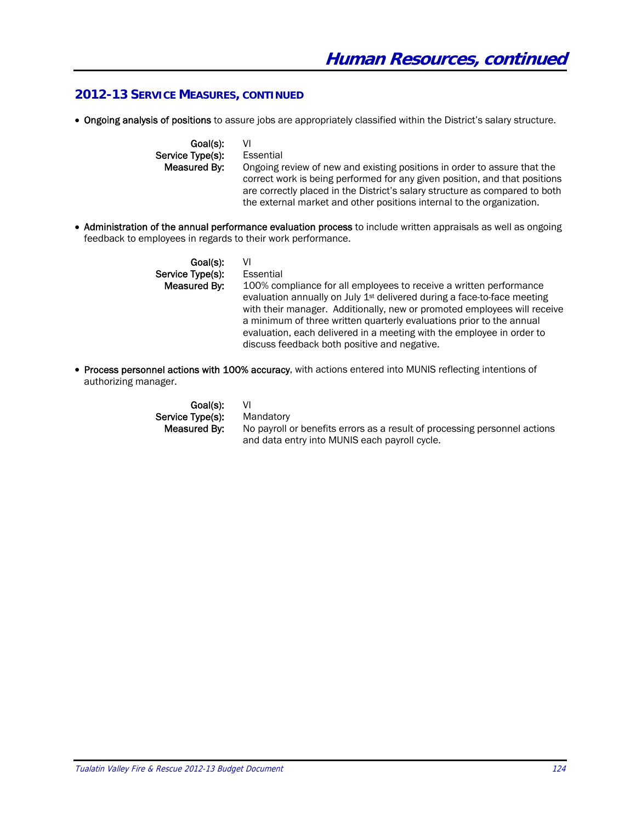## **2012-13 SERVICE MEASURES, CONTINUED**

Ongoing analysis of positions to assure jobs are appropriately classified within the District's salary structure.

Goal(s): VI Service Type(s): Essential **Measured By:** Ongoing review of new and existing positions in order to assure that the correct work is being performed for any given position, and that positions are correctly placed in the District's salary structure as compared to both the external market and other positions internal to the organization.

• Administration of the annual performance evaluation process to include written appraisals as well as ongoing feedback to employees in regards to their work performance.

| Goal(s):         | VI                                                                                                                                                                                                                                                                                                                                                                                                                                     |
|------------------|----------------------------------------------------------------------------------------------------------------------------------------------------------------------------------------------------------------------------------------------------------------------------------------------------------------------------------------------------------------------------------------------------------------------------------------|
| Service Type(s): | Essential                                                                                                                                                                                                                                                                                                                                                                                                                              |
| Measured By:     | 100% compliance for all employees to receive a written performance<br>evaluation annually on July 1 <sup>st</sup> delivered during a face-to-face meeting<br>with their manager. Additionally, new or promoted employees will receive<br>a minimum of three written quarterly evaluations prior to the annual<br>evaluation, each delivered in a meeting with the employee in order to<br>discuss feedback both positive and negative. |

• Process personnel actions with 100% accuracy, with actions entered into MUNIS reflecting intentions of authorizing manager.

> Goal(s): VI Service Type(s): Mandatory<br>Measured By: No payroll of

No payroll or benefits errors as a result of processing personnel actions and data entry into MUNIS each payroll cycle.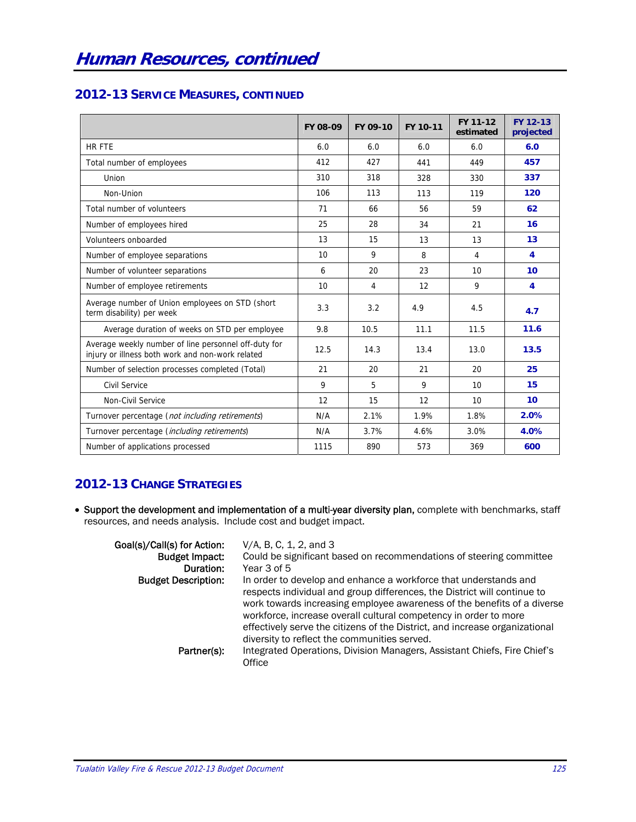## **2012-13 SERVICE MEASURES, CONTINUED**

|                                                                                                          | FY 08-09 | FY 09-10 | FY 10-11 | FY 11-12<br>estimated | FY 12-13<br>projected   |
|----------------------------------------------------------------------------------------------------------|----------|----------|----------|-----------------------|-------------------------|
| <b>HR FTE</b>                                                                                            | 6.0      | 6.0      | 6.0      | 6.0                   | 6.0                     |
| Total number of employees                                                                                | 412      | 427      | 441      | 449                   | 457                     |
| Union                                                                                                    | 310      | 318      | 328      | 330                   | 337                     |
| Non-Union                                                                                                | 106      | 113      | 113      | 119                   | 120                     |
| Total number of volunteers                                                                               | 71       | 66       | 56       | 59                    | 62                      |
| Number of employees hired                                                                                | 25       | 28       | 34       | 21                    | 16                      |
| Volunteers onboarded                                                                                     | 13       | 15       | 13       | 13                    | 13                      |
| Number of employee separations                                                                           | 10       | 9        | 8        | 4                     | 4                       |
| Number of volunteer separations                                                                          | 6        | 20       | 23       | 10                    | 10                      |
| Number of employee retirements                                                                           | 10       | 4        | 12       | 9                     | $\overline{\mathbf{A}}$ |
| Average number of Union employees on STD (short<br>term disability) per week                             | 3.3      | 3.2      | 4.9      | 4.5                   | 4.7                     |
| Average duration of weeks on STD per employee                                                            | 9.8      | 10.5     | 11.1     | 11.5                  | 11.6                    |
| Average weekly number of line personnel off-duty for<br>injury or illness both work and non-work related | 12.5     | 14.3     | 13.4     | 13.0                  | 13.5                    |
| Number of selection processes completed (Total)                                                          | 21       | 20       | 21       | 20                    | 25                      |
| <b>Civil Service</b>                                                                                     | 9        | 5        | 9        | 10                    | 15                      |
| Non-Civil Service                                                                                        | 12       | 15       | 12       | 10                    | 10 <sup>1</sup>         |
| Turnover percentage (not including retirements)                                                          | N/A      | 2.1%     | 1.9%     | 1.8%                  | 2.0%                    |
| Turnover percentage (including retirements)                                                              | N/A      | 3.7%     | 4.6%     | 3.0%                  | 4.0%                    |
| Number of applications processed                                                                         | 1115     | 890      | 573      | 369                   | 600                     |

# **2012-13 CHANGE STRATEGIES**

 Support the development and implementation of a multi-year diversity plan, complete with benchmarks, staff resources, and needs analysis. Include cost and budget impact.

| Goal(s)/Call(s) for Action: | V/A, B, C, 1, 2, and 3                                                                                                                                                                                                                                                                                                                                                                                                     |
|-----------------------------|----------------------------------------------------------------------------------------------------------------------------------------------------------------------------------------------------------------------------------------------------------------------------------------------------------------------------------------------------------------------------------------------------------------------------|
| <b>Budget Impact:</b>       | Could be significant based on recommendations of steering committee                                                                                                                                                                                                                                                                                                                                                        |
| Duration:                   | Year 3 of 5                                                                                                                                                                                                                                                                                                                                                                                                                |
| <b>Budget Description:</b>  | In order to develop and enhance a workforce that understands and<br>respects individual and group differences, the District will continue to<br>work towards increasing employee awareness of the benefits of a diverse<br>workforce, increase overall cultural competency in order to more<br>effectively serve the citizens of the District, and increase organizational<br>diversity to reflect the communities served. |
| Partner(s):                 | Integrated Operations, Division Managers, Assistant Chiefs, Fire Chief's<br>Office                                                                                                                                                                                                                                                                                                                                         |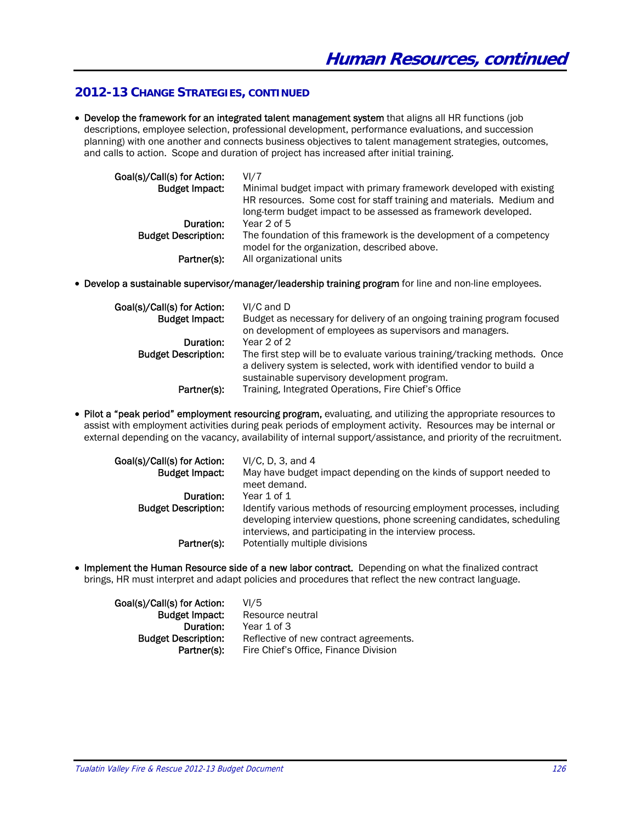## **2012-13 CHANGE STRATEGIES, CONTINUED**

 Develop the framework for an integrated talent management system that aligns all HR functions (job descriptions, employee selection, professional development, performance evaluations, and succession planning) with one another and connects business objectives to talent management strategies, outcomes, and calls to action. Scope and duration of project has increased after initial training.

| Goal(s)/Call(s) for Action: | VI/7                                                                 |
|-----------------------------|----------------------------------------------------------------------|
| <b>Budget Impact:</b>       | Minimal budget impact with primary framework developed with existing |
|                             | HR resources. Some cost for staff training and materials. Medium and |
|                             | long-term budget impact to be assessed as framework developed.       |
| Duration:                   | Year $2$ of $5$                                                      |
| <b>Budget Description:</b>  | The foundation of this framework is the development of a competency  |
|                             | model for the organization, described above.                         |
| Partner(s):                 | All organizational units                                             |

Develop a sustainable supervisor/manager/leadership training program for line and non-line employees.

| Goal(s)/Call(s) for Action:<br><b>Budget Impact:</b> | VI/C and D<br>Budget as necessary for delivery of an ongoing training program focused                                                               |
|------------------------------------------------------|-----------------------------------------------------------------------------------------------------------------------------------------------------|
|                                                      | on development of employees as supervisors and managers.                                                                                            |
| Duration:                                            | Year 2 of 2                                                                                                                                         |
| <b>Budget Description:</b>                           | The first step will be to evaluate various training/tracking methods. Once<br>a delivery system is selected, work with identified vendor to build a |
|                                                      | sustainable supervisory development program.                                                                                                        |
| Partner(s):                                          | Training, Integrated Operations, Fire Chief's Office                                                                                                |

• Pilot a "peak period" employment resourcing program, evaluating, and utilizing the appropriate resources to assist with employment activities during peak periods of employment activity. Resources may be internal or external depending on the vacancy, availability of internal support/assistance, and priority of the recruitment.

| Goal(s)/Call(s) for Action:<br><b>Budget Impact:</b> | $VI/C$ , D, 3, and 4<br>May have budget impact depending on the kinds of support needed to<br>meet demand.                                                                                                  |
|------------------------------------------------------|-------------------------------------------------------------------------------------------------------------------------------------------------------------------------------------------------------------|
| Duration:                                            | Year 1 of 1                                                                                                                                                                                                 |
| <b>Budget Description:</b>                           | Identify various methods of resourcing employment processes, including<br>developing interview questions, phone screening candidates, scheduling<br>interviews, and participating in the interview process. |
| Partner(s):                                          | Potentially multiple divisions                                                                                                                                                                              |

• Implement the Human Resource side of a new labor contract. Depending on what the finalized contract brings, HR must interpret and adapt policies and procedures that reflect the new contract language.

| Goal(s)/Call(s) for Action: | VI/5                                   |
|-----------------------------|----------------------------------------|
| Budget Impact:              | Resource neutral                       |
| Duration:                   | Year 1 of 3                            |
| <b>Budget Description:</b>  | Reflective of new contract agreements. |
| Partner(s):                 | Fire Chief's Office, Finance Division  |